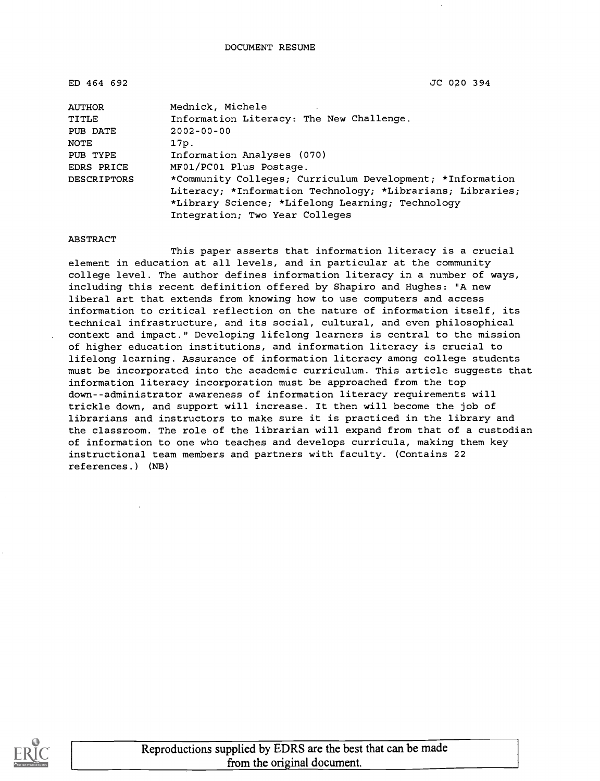ED 464 692 JC 020 394

| <b>AUTHOR</b>      | Mednick, Michele                                           |
|--------------------|------------------------------------------------------------|
| TITLE              | Information Literacy: The New Challenge.                   |
| PUB DATE           | $2002 - 00 - 00$                                           |
| NOTE               | 17p.                                                       |
| PUB TYPE           | Information Analyses (070)                                 |
| EDRS PRICE         | MF01/PC01 Plus Postage.                                    |
| <b>DESCRIPTORS</b> | *Community Colleges; Curriculum Development; *Information  |
|                    | Literacy; *Information Technology; *Librarians; Libraries; |
|                    | *Library Science; *Lifelong Learning; Technology           |
|                    | Integration; Two Year Colleges                             |

ABSTRACT

This paper asserts that information literacy is a crucial element in education at all levels, and in particular at the community college level. The author defines information literacy in a number of ways, including this recent definition offered by Shapiro and Hughes: "A new liberal art that extends from knowing how to use computers and access information to critical reflection on the nature of information itself, its technical infrastructure, and its social, cultural, and even philosophical context and impact." Developing lifelong learners is central to the mission of higher education institutions, and information literacy is crucial to lifelong learning. Assurance of information literacy among college students must be incorporated into the academic curriculum. This article suggests that information literacy incorporation must be approached from the top down--administrator awareness of information literacy requirements will trickle down, and support will increase. It then will become the job of librarians and instructors to make sure it is practiced in the library and the classroom. The role of the librarian will expand from that of a custodian of information to one who teaches and develops curricula, making them key instructional team members and partners with faculty. (Contains 22 references.) (NB)

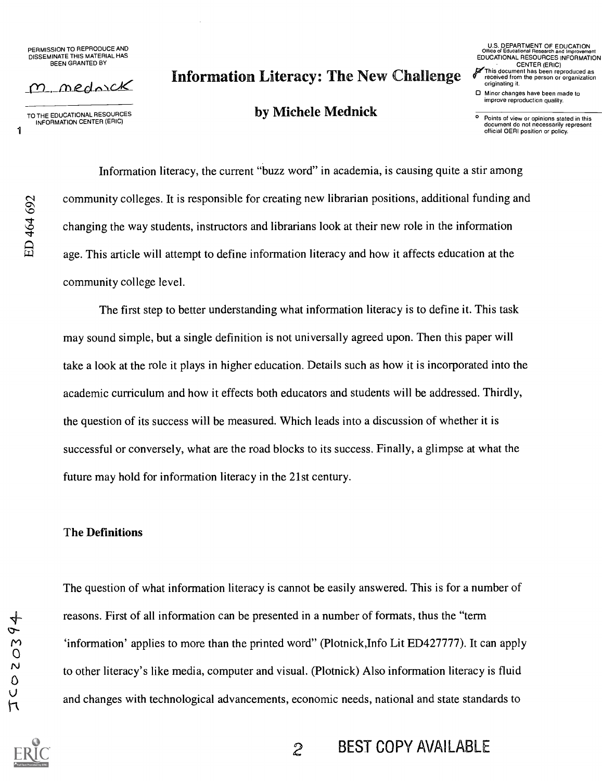PERMISSION TO REPRODUCE AND DISSEMINATE THIS MATERIAL HAS BEEN GRANTED BY

m mednick

TO THE EDUCATIONAL RESOURCES INFORMATION CENTER (ERIC)

 $\frac{4}{9}$ 

# Information Literacy: The New Challenge

## by Michele Mednick

U.S. DEPARTMENT OF EDUCATION Office of Educational Research and Improvement EDUCATIONAL RESOURCES INFORMATION CENTER (ERIC) This document has been reproduced as

- received from the person or organization originating it. 0 Minor changes have been made to
- improve reproduction quality.

Points of view or opinions stated in this document do not necessarily represent official OERI position or policy.

品 。 Information literacy, the current "buzz word" in academia, is causing quite a stir among community colleges. It is responsible for creating new librarian positions, additional funding and changing the way students, instructors and librarians look at their new role in the information age. This article will attempt to define information literacy and how it affects education at the community college level.

The first step to better understanding what information literacy is to define it. This task may sound simple, but a single definition is not universally agreed upon. Then this paper will take a look at the role it plays in higher education. Details such as how it is incorporated into the academic curriculum and how it effects both educators and students will be addressed. Thirdly, the question of its success will be measured. Which leads into a discussion of whether it is successful or conversely, what are the road blocks to its success. Finally, a glimpse at what the future may hold for information literacy in the 21st century.

#### The Definitions

The question of what information literacy is cannot be easily answered. This is for a number of reasons. First of all information can be presented in a number of formats, thus the "term 'information' applies to more than the printed word" (Plotnick,Info Lit ED427777). It can apply to other literacy's like media, computer and visual. (Plotnick) Also information literacy is fluid and changes with technological advancements, economic needs, national and state standards to

2 BEST COPY AVAILABLE

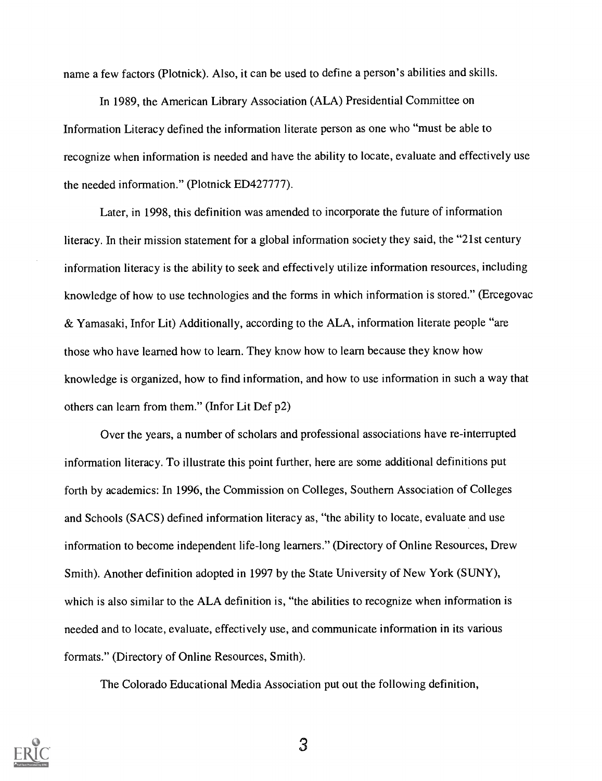name a few factors (Plotnick). Also, it can be used to define a person's abilities and skills.

In 1989, the American Library Association (ALA) Presidential Committee on Information Literacy defined the information literate person as one who "must be able to recognize when information is needed and have the ability to locate, evaluate and effectively use the needed information." (Plotnick ED427777).

Later, in 1998, this definition was amended to incorporate the future of information literacy. In their mission statement for a global information society they said, the "21st century information literacy is the ability to seek and effectively utilize information resources, including knowledge of how to use technologies and the forms in which information is stored." (Ercegovac & Yamasaki, Infor Lit) Additionally, according to the ALA, information literate people "are those who have learned how to learn. They know how to learn because they know how knowledge is organized, how to find information, and how to use information in such a way that others can learn from them." (Infor Lit Def p2)

Over the years, a number of scholars and professional associations have re-interrupted information literacy. To illustrate this point further, here are some additional definitions put forth by academics: In 1996, the Commission on Colleges, Southern Association of Colleges and Schools (SACS) defined information literacy as, "the ability to locate, evaluate and use information to become independent life-long learners." (Directory of Online Resources, Drew Smith). Another definition adopted in 1997 by the State University of New York (SUNY), which is also similar to the ALA definition is, "the abilities to recognize when information is needed and to locate, evaluate, effectively use, and communicate information in its various formats." (Directory of Online Resources, Smith).

The Colorado Educational Media Association put out the following definition,

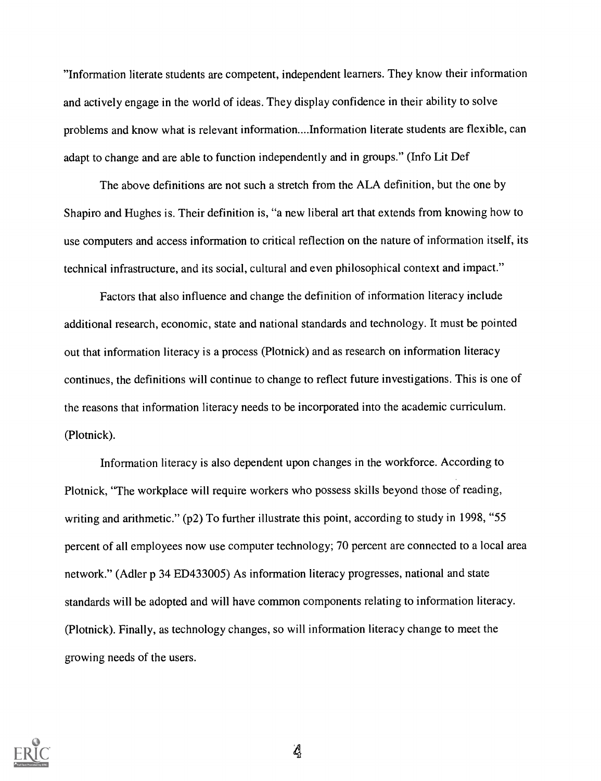"Information literate students are competent, independent learners. They know their information and actively engage in the world of ideas. They display confidence in their ability to solve problems and know what is relevant information....Information literate students are flexible, can adapt to change and are able to function independently and in groups." (Info Lit Def

The above definitions are not such a stretch from the ALA definition, but the one by Shapiro and Hughes is. Their definition is, "a new liberal art that extends from knowing how to use computers and access information to critical reflection on the nature of information itself, its technical infrastructure, and its social, cultural and even philosophical context and impact."

Factors that also influence and change the definition of information literacy include additional research, economic, state and national standards and technology. It must be pointed out that information literacy is a process (Plotnick) and as research on information literacy continues, the definitions will continue to change to reflect future investigations. This is one of the reasons that information literacy needs to be incorporated into the academic curriculum. (Plotnick).

Information literacy is also dependent upon changes in the workforce. According to Plotnick, "The workplace will require workers who possess skills beyond those of reading, writing and arithmetic." (p2) To further illustrate this point, according to study in 1998, "55 percent of all employees now use computer technology; 70 percent are connected to a local area network." (Adler p 34 ED433005) As information literacy progresses, national and state standards will be adopted and will have common components relating to information literacy. (Plotnick). Finally, as technology changes, so will information literacy change to meet the growing needs of the users.



 $\mathcal{L}$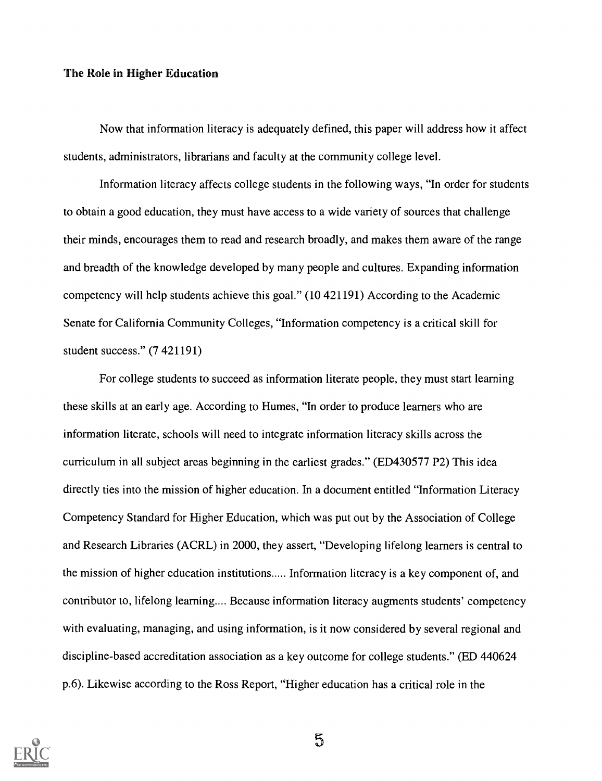### The Role in Higher Education

Now that information literacy is adequately defined, this paper will address how it affect students, administrators, librarians and faculty at the community college level.

Information literacy affects college students in the following ways, "In order for students to obtain a good education, they must have access to a wide variety of sources that challenge their minds, encourages them to read and research broadly, and makes them aware of the range and breadth of the knowledge developed by many people and cultures. Expanding information competency will help students achieve this goal." (10 421191) According to the Academic Senate for California Community Colleges, "Information competency is a critical skill for student success." (7 421191)

For college students to succeed as information literate people, they must start learning these skills at an early age. According to Humes, "In order to produce learners who are information literate, schools will need to integrate information literacy skills across the curriculum in all subject areas beginning in the earliest grades." (ED430577 P2) This idea directly ties into the mission of higher education. In a document entitled "Information Literacy Competency Standard for Higher Education, which was put out by the Association of College and Research Libraries (ACRL) in 2000, they assert, "Developing lifelong learners is central to the mission of higher education institutions..... Information literacy is a key component of, and contributor to, lifelong learning.... Because information literacy augments students' competency with evaluating, managing, and using information, is it now considered by several regional and discipline-based accreditation association as a key outcome for college students." (ED 440624 p.6). Likewise according to the Ross Report, "Higher education has a critical role in the



 $5\overline{)}$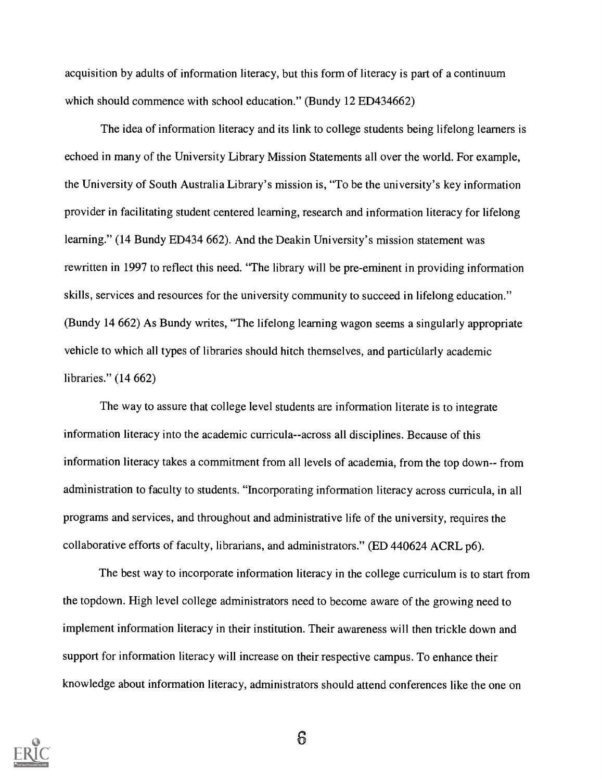acquisition by adults of information literacy, but this form of literacy is part of a continuum which should commence with school education." (Bundy 12 ED434662)

The idea of information literacy and its link to college students being lifelong learners is echoed in many of the University Library Mission Statements all over the world. For example, the University of South Australia Library's mission is, "To be the university's key information provider in facilitating student centered learning, research and information literacy for lifelong learning." (14 Bundy ED434 662). And the Deakin University's mission statement was rewritten in 1997 to reflect this need. "The library will be pre-eminent in providing information skills, services and resources for the university community to succeed in lifelong education." (Bundy 14 662) As Bundy writes, "The lifelong learning wagon seems a singularly appropriate vehicle to which all types of libraries should hitch themselves, and particularly academic libraries." (14 662)

The way to assure that college level students are information literate is to integrate information literacy into the academic curricula--across all disciplines. Because of this information literacy takes a commitment from all levels of academia, from the top down-- from administration to faculty to students. "Incorporating information literacy across curricula, in all programs and services, and throughout and administrative life of the university, requires the collaborative efforts of faculty, librarians, and administrators." (ED 440624 ACRL p6).

The best way to incorporate information literacy in the college curriculum is to start from the topdown. High level college administrators need to become aware of the growing need to implement information literacy in their institution. Their awareness will then trickle down and support for information literacy will increase on their respective campus. To enhance their knowledge about information literacy, administrators should attend conferences like the one on

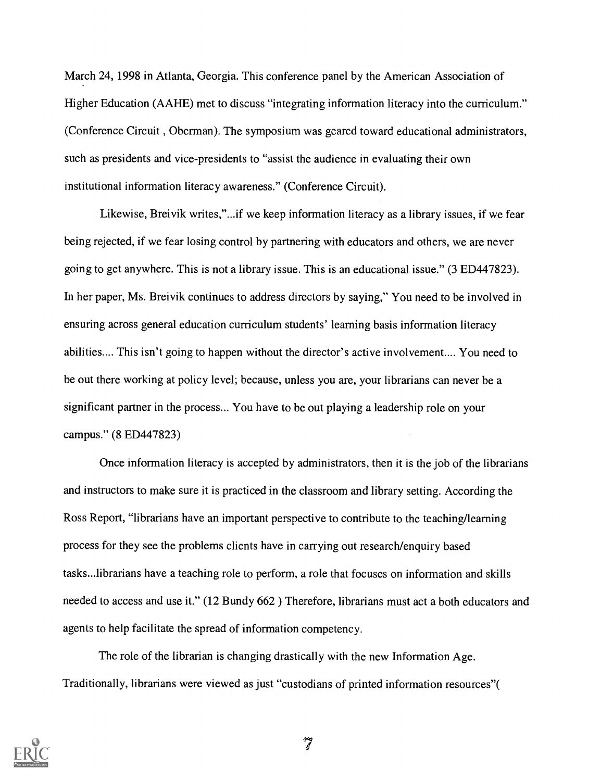March 24, 1998 in Atlanta, Georgia. This conference panel by the American Association of Higher Education (AAHE) met to discuss "integrating information literacy into the curriculum." (Conference Circuit , Oberman). The symposium was geared toward educational administrators, such as presidents and vice-presidents to "assist the audience in evaluating their own institutional information literacy awareness." (Conference Circuit).

Likewise, Breivik writes,"...if we keep information literacy as a library issues, if we fear being rejected, if we fear losing control by partnering with educators and others, we are never going to get anywhere. This is not a library issue. This is an educational issue." (3 ED447823). In her paper, Ms. Breivik continues to address directors by saying," You need to be involved in ensuring across general education curriculum students' learning basis information literacy abilities.... This isn't going to happen without the director's active involvement.... You need to be out there working at policy level; because, unless you are, your librarians can never be a significant partner in the process... You have to be out playing a leadership role on your campus." (8 ED447823)

Once information literacy is accepted by administrators, then it is the job of the librarians and instructors to make sure it is practiced in the classroom and library setting. According the Ross Report, "librarians have an important perspective to contribute to the teaching/learning process for they see the problems clients have in carrying out research/enquiry based tasks...librarians have a teaching role to perform, a role that focuses on information and skills needed to access and use it." (12 Bundy 662 ) Therefore, librarians must act a both educators and agents to help facilitate the spread of information competency.

The role of the librarian is changing drastically with the new Information Age. Traditionally, librarians were viewed as just "custodians of printed information resources"(

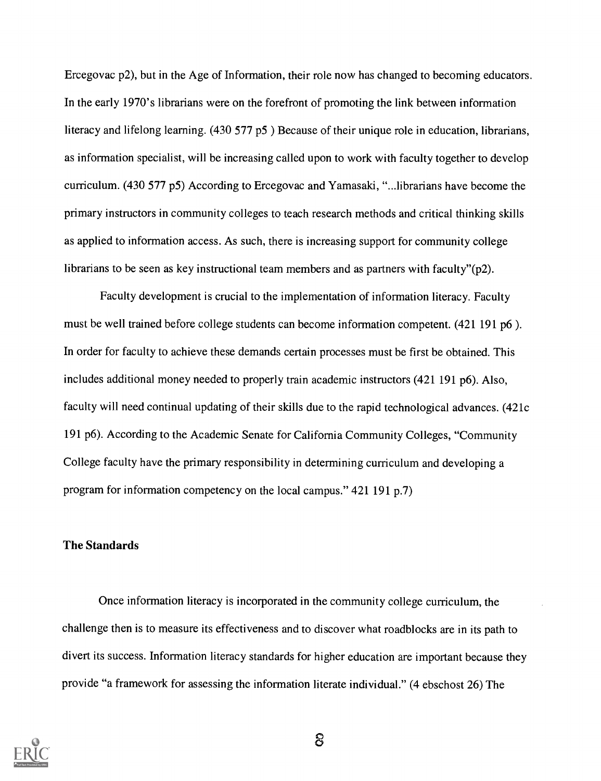Ercegovac p2), but in the Age of Information, their role now has changed to becoming educators. In the early 1970's librarians were on the forefront of promoting the link between information literacy and lifelong learning. (430 577 p5 ) Because of their unique role in education, librarians, as information specialist, will be increasing called upon to work with faculty together to develop curriculum. (430 577 p5) According to Ercegovac and Yamasaki, "...librarians have become the primary instructors in community colleges to teach research methods and critical thinking skills as applied to information access. As such, there is increasing support for community college librarians to be seen as key instructional team members and as partners with faculty" $(p2)$ .

Faculty development is crucial to the implementation of information literacy. Faculty must be well trained before college students can become information competent. (421 191 p6 ). In order for faculty to achieve these demands certain processes must be first be obtained. This includes additional money needed to properly train academic instructors (421 191 p6). Also, faculty will need continual updating of their skills due to the rapid technological advances. (421c 191 p6). According to the Academic Senate for California Community Colleges, "Community College faculty have the primary responsibility in determining curriculum and developing a program for information competency on the local campus."  $421 191 p.7$ )

### The Standards

Once information literacy is incorporated in the community college curriculum, the challenge then is to measure its effectiveness and to discover what roadblocks are in its path to divert its success. Information literacy standards for higher education are important because they provide "a framework for assessing the information literate individual." (4 ebschost 26) The

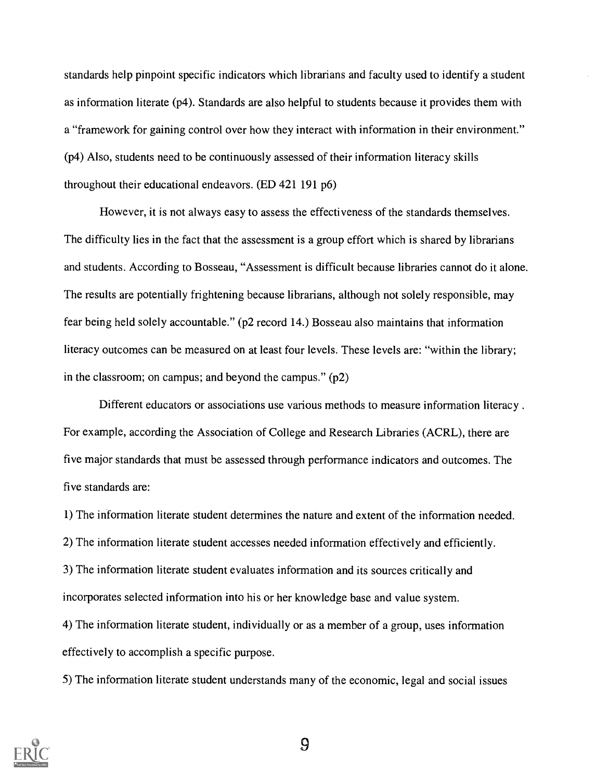standards help pinpoint specific indicators which librarians and faculty used to identify a student as information literate (p4). Standards are also helpful to students because it provides them with a "framework for gaining control over how they interact with information in their environment." (p4) Also, students need to be continuously assessed of their information literacy skills throughout their educational endeavors. (ED 421 191 p6)

However, it is not always easy to assess the effectiveness of the standards themselves. The difficulty lies in the fact that the assessment is a group effort which is shared by librarians and students. According to Bosseau, "Assessment is difficult because libraries cannot do it alone. The results are potentially frightening because librarians, although not solely responsible, may fear being held solely accountable." (p2 record 14.) Bosseau also maintains that information literacy outcomes can be measured on at least four levels. These levels are: "within the library; in the classroom; on campus; and beyond the campus." (p2)

Different educators or associations use various methods to measure information literacy.. For example, according the Association of College and Research Libraries (ACRL), there are five major standards that must be assessed through performance indicators and outcomes. The five standards are:

1) The information literate student determines the nature and extent of the information needed.

2) The information literate student accesses needed information effectively and efficiently.

3) The information literate student evaluates information and its sources critically and incorporates selected information into his or her knowledge base and value system.

4) The information literate student, individually or as a member of a group, uses information effectively to accomplish a specific purpose.

5) The information literate student understands many of the economic, legal and social issues

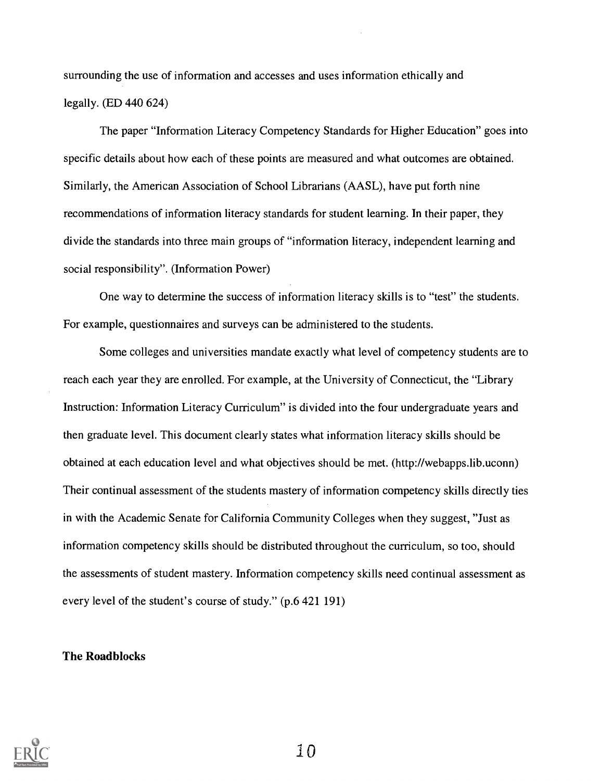surrounding the use of information and accesses and uses information ethically and legally. (ED 440 624)

The paper "Information Literacy Competency Standards for Higher Education" goes into specific details about how each of these points are measured and what outcomes are obtained. Similarly, the American Association of School Librarians (AASL), have put forth nine recommendations of information literacy standards for student learning. In their paper, they divide the standards into three main groups of "information literacy, independent learning and social responsibility". (Information Power)

One way to determine the success of information literacy skills is to "test" the students. For example, questionnaires and surveys can be administered to the students.

Some colleges and universities mandate exactly what level of competency students are to reach each year they are enrolled. For example, at the University of Connecticut, the "Library Instruction: Information Literacy Curriculum" is divided into the four undergraduate years and then graduate level. This document clearly states what information literacy skills should be obtained at each education level and what objectives should be met. (http://webapps.lib.uconn) Their continual assessment of the students mastery of information competency skills directly ties in with the Academic Senate for California Community Colleges when they suggest, "Just as information competency skills should be distributed throughout the curriculum, so too, should the assessments of student mastery. Information competency skills need continual assessment as every level of the student's course of study." (p.6 421 191)

### The Roadblocks

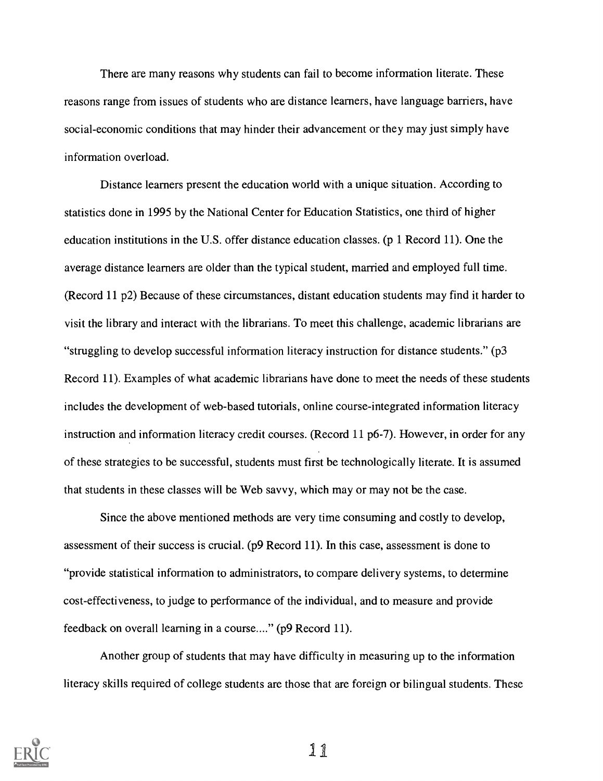There are many reasons why students can fail to become information literate. These reasons range from issues of students who are distance learners, have language barriers, have social-economic conditions that may hinder their advancement or they may just simply have information overload.

Distance learners present the education world with a unique situation. According to statistics done in 1995 by the National Center for Education Statistics, one third of higher education institutions in the U.S. offer distance education classes. (p 1 Record 11). One the average distance learners are older than the typical student, married and employed full time. (Record 11 p2) Because of these circumstances, distant education students may find it harder to visit the library and interact with the librarians. To meet this challenge, academic librarians are "struggling to develop successful information literacy instruction for distance students." ( $p3$ Record 11). Examples of what academic librarians have done to meet the needs of these students includes the development of web-based tutorials, online course-integrated information literacy instruction and information literacy credit courses. (Record 11 p6-7). However, in order for any of these strategies to be successful, students must first be technologically literate. It is assumed that students in these classes will be Web savvy, which may or may not be the case.

Since the above mentioned methods are very time consuming and costly to develop, assessment of their success is crucial. (p9 Record 11). In this case, assessment is done to "provide statistical information to administrators, to compare delivery systems, to determine cost-effectiveness, to judge to performance of the individual, and to measure and provide feedback on overall learning in a course...." (p9 Record 11).

Another group of students that may have difficulty in measuring up to the information literacy skills required of college students are those that are foreign or bilingual students. These

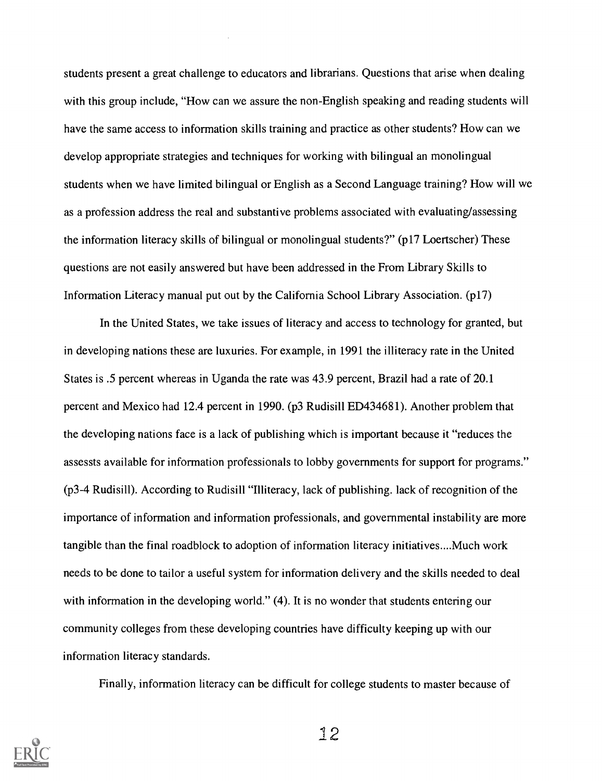students present a great challenge to educators and librarians. Questions that arise when dealing with this group include, "How can we assure the non-English speaking and reading students will have the same access to information skills training and practice as other students? How can we develop appropriate strategies and techniques for working with bilingual an monolingual students when we have limited bilingual or English as a Second Language training? How will we as a profession address the real and substantive problems associated with evaluating/assessing the information literacy skills of bilingual or monolingual students?" (p17 Loertscher) These questions are not easily answered but have been addressed in the From Library Skills to Information Literacy manual put out by the California School Library Association. (p17)

In the United States, we take issues of literacy and access to technology for granted, but in developing nations these are luxuries. For example, in 1991 the illiteracy rate in the United States is .5 percent whereas in Uganda the rate was 43.9 percent, Brazil had a rate of 20.1 percent and Mexico had 12.4 percent in 1990. (p3 Rudisill ED434681). Another problem that the developing nations face is a lack of publishing which is important because it "reduces the assessts available for information professionals to lobby governments for support for programs." (p3-4 Rudisill). According to Rudisill "Illiteracy, lack of publishing, lack of recognition of the importance of information and information professionals, and governmental instability are more tangible than the final roadblock to adoption of information literacy initiatives....Much work needs to be done to tailor a useful system for information delivery and the skills needed to deal with information in the developing world." (4). It is no wonder that students entering our community colleges from these developing countries have difficulty keeping up with our information literacy standards.

Finally, information literacy can be difficult for college students to master because of

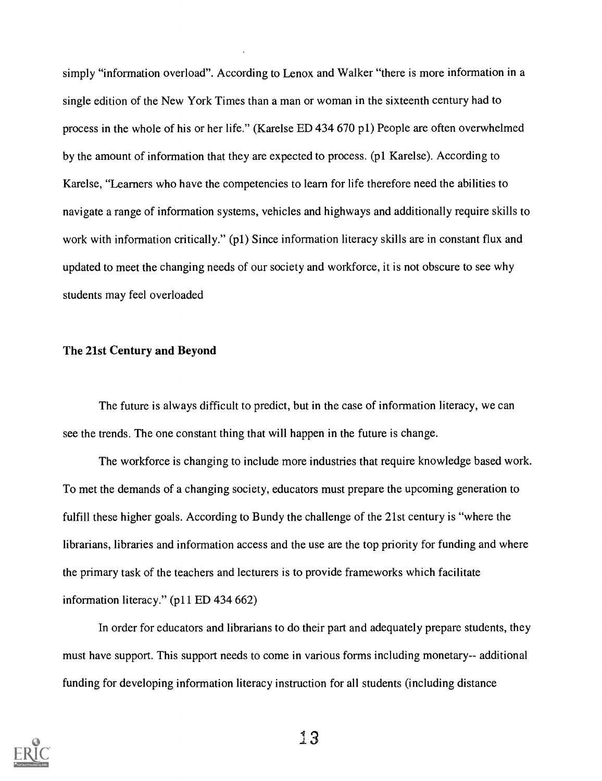simply "information overload". According to Lenox and Walker "there is more information in a single edition of the New York Times than a man or woman in the sixteenth century had to process in the whole of his or her life." (Karelse ED 434 670 pl) People are often overwhelmed by the amount of information that they are expected to process. (pl Karelse). According to Karelse, "Learners who have the competencies to learn for life therefore need the abilities to navigate a range of information systems, vehicles and highways and additionally require skills to work with information critically." (p1) Since information literacy skills are in constant flux and updated to meet the changing needs of our society and workforce, it is not obscure to see why students may feel overloaded

### The 21st Century and Beyond

The future is always difficult to predict, but in the case of information literacy, we can see the trends. The one constant thing that will happen in the future is change.

The workforce is changing to include more industries that require knowledge based work. To met the demands of a changing society, educators must prepare the upcoming generation to fulfill these higher goals. According to Bundy the challenge of the 21st century is "where the librarians, libraries and information access and the use are the top priority for funding and where the primary task of the teachers and lecturers is to provide frameworks which facilitate information literacy." (p11 ED 434 662)

In order for educators and librarians to do their part and adequately prepare students, they must have support. This support needs to come in various forms including monetary-- additional funding for developing information literacy instruction for all students (including distance

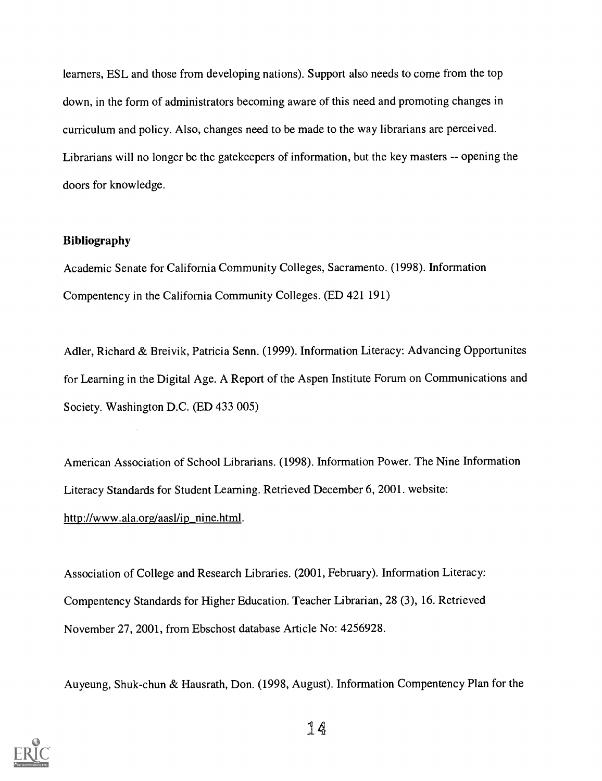learners, ESL and those from developing nations). Support also needs to come from the top down, in the form of administrators becoming aware of this need and promoting changes in curriculum and policy. Also, changes need to be made to the way librarians are perceived. Librarians will no longer be the gatekeepers of information, but the key masters -- opening the doors for knowledge.

## Bibliography

Academic Senate for California Community Colleges, Sacramento. (1998). Information Compentency in the California Community Colleges. (ED 421 191)

Adler, Richard & Breivik, Patricia Senn. (1999). Information Literacy: Advancing Opportunites for Learning in the Digital Age. A Report of the Aspen Institute Forum on Communications and Society. Washington D.C. (ED 433 005)

American Association of School Librarians. (1998). Information Power. The Nine Information Literacy Standards for Student Learning. Retrieved December 6, 2001. website: http://www.ala.org/aasl/ip nine.html.

Association of College and Research Libraries. (2001, February). Information Literacy: Compentency Standards for Higher Education. Teacher Librarian, 28 (3), 16. Retrieved November 27, 2001, from Ebschost database Article No: 4256928.

Auyeung, Shuk-chun & Hausrath, Don. (1998, August). Information Compentency Plan for the

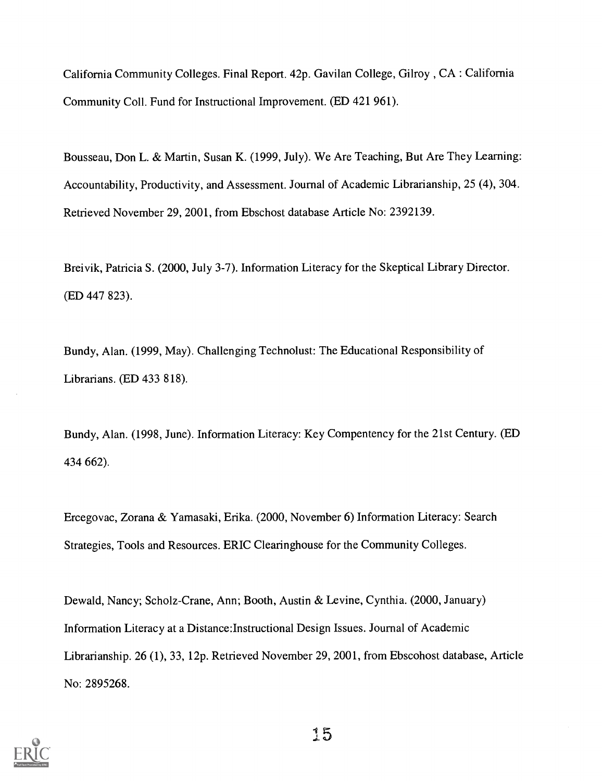California Community Colleges. Final Report. 42p. Gavilan College, Gilroy , CA : California Community Coll. Fund for Instructional Improvement. (ED 421 961).

Bousseau, Don L. & Martin, Susan K. (1999, July). We Are Teaching, But Are They Learning: Accountability, Productivity, and Assessment. Journal of Academic Librarianship, 25 (4), 304. Retrieved November 29, 2001, from Ebschost database Article No: 2392139.

Breivik, Patricia S. (2000, July 3-7). Information Literacy for the Skeptical Library Director. (ED 447 823).

Bundy, Alan. (1999, May). Challenging Technolust: The Educational Responsibility of Librarians. (ED 433 818).

Bundy, Alan. (1998, June). Information Literacy: Key Compentency for the 21st Century. (ED 434 662).

Ercegovac, Zorana & Yamasaki, Erika. (2000, November 6) Information Literacy: Search Strategies, Tools and Resources. ERIC Clearinghouse for the Community Colleges.

Dewald, Nancy; Scholz-Crane, Ann; Booth, Austin & Levine, Cynthia. (2000, January) Information Literacy at a Distance:Instructional Design Issues. Journal of Academic Librarianship. 26 (1), 33, 12p. Retrieved November 29, 2001, from Ebscohost database, Article No: 2895268.

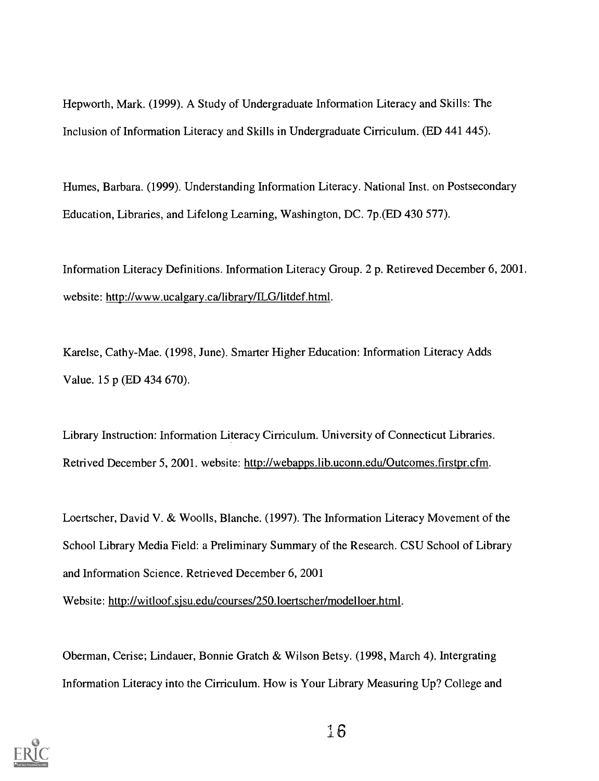Hepworth, Mark. (1999). A Study of Undergraduate Information Literacy and Skills: The Inclusion of Information Literacy and Skills in Undergraduate Cirriculum. (ED 441 445).

Humes, Barbara. (1999). Understanding Information Literacy. National Inst. on Postsecondary Education, Libraries, and Lifelong Learning, Washington, DC. 7p.(ED 430 577).

Information Literacy Definitions. Information Literacy Group. 2 p. Retireved December 6, 2001. website: http://www.ucalgary.ca/library/ILG/litdef.html.

Karelse, Cathy-Mae. (1998, June). Smarter Higher Education: Information Literacy Adds Value. 15 p (ED 434 670).

Library Instruction: Information Literacy Cirriculum. University of Connecticut Libraries. Retrived December 5, 2001. website: http://webapps.lib.uconn.edu/Outcomes.firstpr.cfm.

Loertscher, David V. & Woolls, Blanche. (1997). The Information Literacy Movement of the School Library Media Field: a Preliminary Summary of the Research. CSU School of Library and Information Science. Retrieved December 6, 2001 Website: http://witloof.sjsu.edu/courses/250.1oertscher/modelloer.html.

Oberman, Cerise; Lindauer, Bonnie Gratch & Wilson Betsy. (1998, March 4). Intergrating Information Literacy into the Cirriculum. How is Your Library Measuring Up? College and

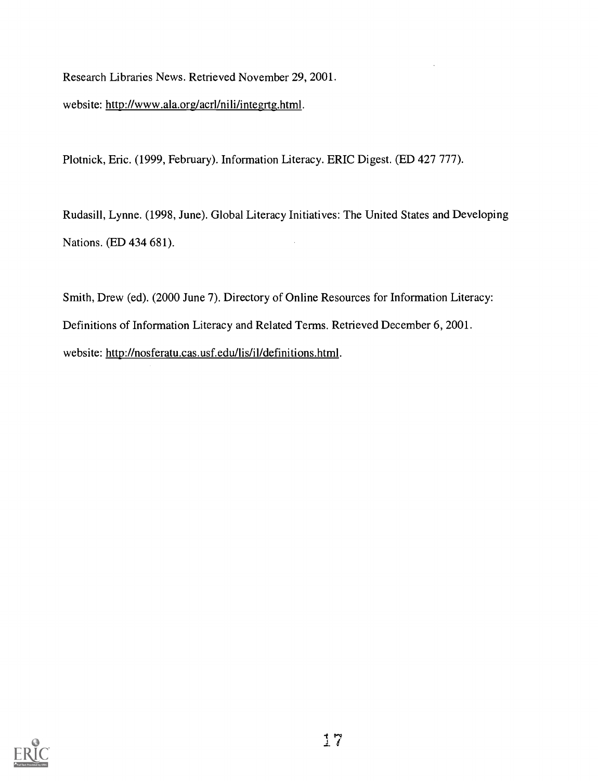Research Libraries News. Retrieved November 29, 2001.

website: http://www.ala.org/acrl/nili/integrtg.html.

Plotnick, Eric. (1999, February). Information Literacy. ERIC Digest. (ED 427 777).

Rudasill, Lynne. (1998, June). Global Literacy Initiatives: The United States and Developing Nations. (ED 434 681).

Smith, Drew (ed). (2000 June 7). Directory of Online Resources for Information Literacy: Definitions of Information Literacy and Related Terms. Retrieved December 6, 2001. website: http://nosferatu.cas.usf.edu/lis/il/definitions.html.

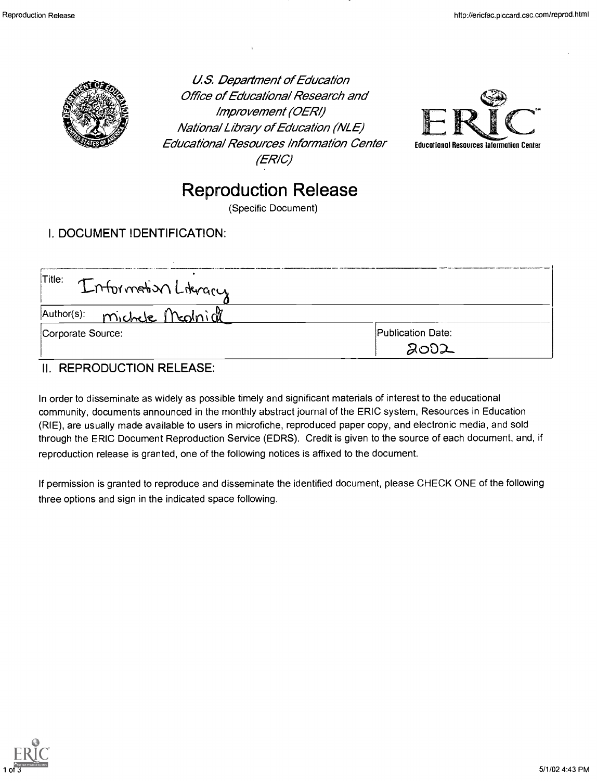

U.S. Department of Education **Office of Educational Research and** Improvement (0ERI) National Library of Education (NLE) Educationa/ Resources Information Center (ERIC)



# Reproduction Release

(Specific Document)

# I. DOCUMENT IDENTIFICATION:

| Title: Information Literary |                                  |  |
|-----------------------------|----------------------------------|--|
| Author(s): michele Mednich  |                                  |  |
| Corporate Source:           | <b>Publication Date:</b><br>2002 |  |

## II. REPRODUCTION RELEASE:

In order to disseminate as widely as possible timely and significant materials of interest to the educational community, documents announced in the monthly abstract journal of the ERIC system, Resources in Education (RIE), are usually made available to users in microfiche, reproduced paper copy, and electronic media, and sold through the ERIC Document Reproduction Service (EDRS). Credit is given to the source of each document, and, if reproduction release is granted, one of the following notices is affixed to the document.

If permission is granted to reproduce and disseminate the identified document, please CHECK ONE of the following three options and sign in the indicated space following.

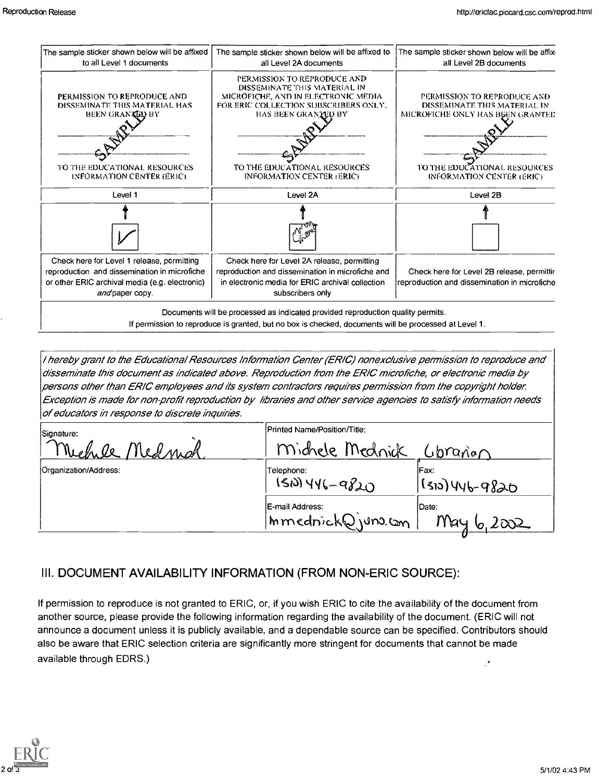

/ hereby grant to the Educafional Resources Information Center (ER/C) nonexclusive permission to reproduce and disseminate this document as indicated above. Reproduction from the ER/C microfiche, or e/ectronic media by persons other than ERIC employees and its system contractors requires permission from the copyright holder. Exception is made for non-profit reproduction by libraries and other service agencies to satisfy information needs of educators in response to discrete inquines.

| Signature:            | Printed Name/Position/Title:          |                           |
|-----------------------|---------------------------------------|---------------------------|
| Michile<br>Medmal     | Michele Mednick                       | Gorgnan                   |
| Organization/Address: | Telephone:<br>$150)446 - 9820$        | IFax:<br>, (310) 446-9820 |
|                       | E-mail Address:<br>Immednick@juno.com | Date:<br>May 6,2002       |

## III. DOCUMENT AVAILABILITY INFORMATION (FROM NON-ERIC SOURCE):

If permission to reproduce is not granted to ERIC, or, if you wish ERIC to cite the availability of the document from another source, please provide the following information regarding the availability of the document. (ERIC will not announce a document unless it is publicly available, and a dependable source can be specified. Contributors should also be aware that ERIC selection criteria are significantly more stringent for documents that cannot be made available through EDRS.)